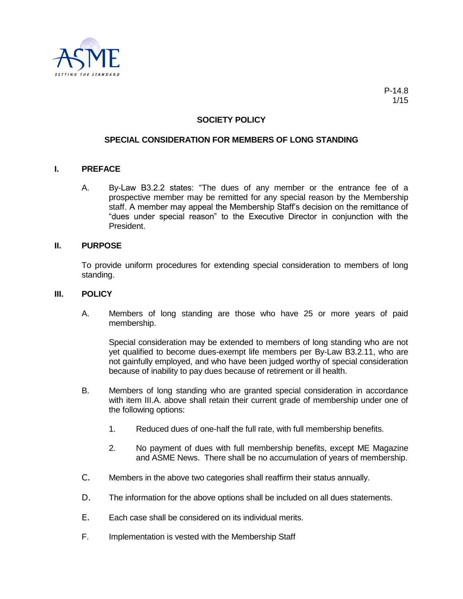

# **SOCIETY POLICY**

## **SPECIAL CONSIDERATION FOR MEMBERS OF LONG STANDING**

### **I. PREFACE**

A. By-Law B3.2.2 states: "The dues of any member or the entrance fee of a prospective member may be remitted for any special reason by the Membership staff. A member may appeal the Membership Staff's decision on the remittance of "dues under special reason" to the Executive Director in conjunction with the President.

## **II. PURPOSE**

To provide uniform procedures for extending special consideration to members of long standing.

#### **III. POLICY**

A. Members of long standing are those who have 25 or more years of paid membership.

Special consideration may be extended to members of long standing who are not yet qualified to become dues-exempt life members per By-Law B3.2.11, who are not gainfully employed, and who have been judged worthy of special consideration because of inability to pay dues because of retirement or ill health.

- B. Members of long standing who are granted special consideration in accordance with item III.A. above shall retain their current grade of membership under one of the following options:
	- 1. Reduced dues of one-half the full rate, with full membership benefits.
	- 2. No payment of dues with full membership benefits, except ME Magazine and ASME News. There shall be no accumulation of years of membership.
- C. Members in the above two categories shall reaffirm their status annually.
- D. The information for the above options shall be included on all dues statements.
- E. Each case shall be considered on its individual merits.
- F. Implementation is vested with the Membership Staff